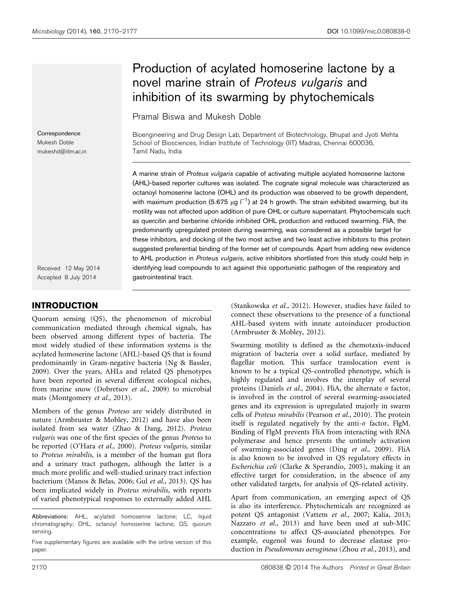# Production of acylated homoserine lactone by a novel marine strain of Proteus vulgaris and inhibition of its swarming by phytochemicals

Pramal Biswa and Mukesh Doble

Bioengineering and Drug Design Lab, Department of Biotechnology, Bhupat and Jyoti Mehta School of Biosciences, Indian Institute of Technology (IIT) Madras, Chennai 600036, Tamil Nadu, India

A marine strain of Proteus vulgaris capable of activating multiple acylated homoserine lactone (AHL)-based reporter cultures was isolated. The cognate signal molecule was characterized as octanoyl homoserine lactone (OHL) and its production was observed to be growth dependent, with maximum production (5.675  $\mu$ g l<sup>-1</sup>) at 24 h growth. The strain exhibited swarming, but its motility was not affected upon addition of pure OHL or culture supernatant. Phytochemicals such as quercitin and berberine chloride inhibited OHL production and reduced swarming. FliA, the predominantly upregulated protein during swarming, was considered as a possible target for these inhibitors, and docking of the two most active and two least active inhibitors to this protein suggested preferential binding of the former set of compounds. Apart from adding new evidence to AHL production in Proteus vulgaris, active inhibitors shortlisted from this study could help in identifying lead compounds to act against this opportunistic pathogen of the respiratory and gastrointestinal tract.

Received 12 May 2014 Accepted 8 July 2014

**Correspondence** Mukesh Doble mukeshd@iitm.ac.in

# INTRODUCTION

Quorum sensing (QS), the phenomenon of microbial communication mediated through chemical signals, has been observed among different types of bacteria. The most widely studied of these information systems is the acylated homoserine lactone (AHL)-based QS that is found predominantly in Gram-negative bacteria (Ng & Bassler, 2009). Over the years, AHLs and related QS phenotypes have been reported in several different ecological niches, from marine snow (Dobretsov et al., 2009) to microbial mats (Montgomery et al., 2013).

Members of the genus Proteus are widely distributed in nature (Armbruster & Mobley, 2012) and have also been isolated from sea water (Zhao & Dang, 2012). Proteus vulgaris was one of the first species of the genus Proteus to be reported (O'Hara et al., 2000). Proteus vulgaris, similar to Proteus mirabilis, is a member of the human gut flora and a urinary tract pathogen, although the latter is a much more prolific and well-studied urinary tract infection bacterium (Manos & Belas, 2006; Gul et al., 2013). QS has been implicated widely in Proteus mirabilis, with reports of varied phenotypical responses to externally added AHL

Abbreviations: AHL, acylated homoserine lactone; LC, liquid chromatography; OHL, octanoyl homoserine lactone; QS, quorum sensing.

Five supplementary figures are available with the online version of this paper.

(Stankowska et al., 2012). However, studies have failed to connect these observations to the presence of a functional AHL-based system with innate autoinducer production (Armbruster & Mobley, 2012).

Swarming motility is defined as the chemotaxis-induced migration of bacteria over a solid surface, mediated by flagellar motion. This surface translocation event is known to be a typical QS-controlled phenotype, which is highly regulated and involves the interplay of several proteins (Daniels et al., 2004). FliA, the alternate  $\sigma$  factor, is involved in the control of several swarming-associated genes and its expression is upregulated majorly in swarm cells of Proteus mirabilis (Pearson et al., 2010). The protein itself is regulated negatively by the anti- $\sigma$  factor, FlgM. Binding of FlgM prevents FliA from interacting with RNA polymerase and hence prevents the untimely activation of swarming-associated genes (Ding et al., 2009). FliA is also known to be involved in QS regulatory effects in Escherichia coli (Clarke & Sperandio, 2005), making it an effective target for consideration, in the absence of any other validated targets, for analysis of QS-related activity.

Apart from communication, an emerging aspect of QS is also its interference. Phytochemicals are recognized as potent QS antagonist (Vattem et al., 2007; Kalia, 2013; Nazzaro et al., 2013) and have been used at sub-MIC concentrations to affect QS-associated phenotypes. For example, eugenol was found to decrease elastase production in Pseudomonas aeruginosa (Zhou et al., 2013), and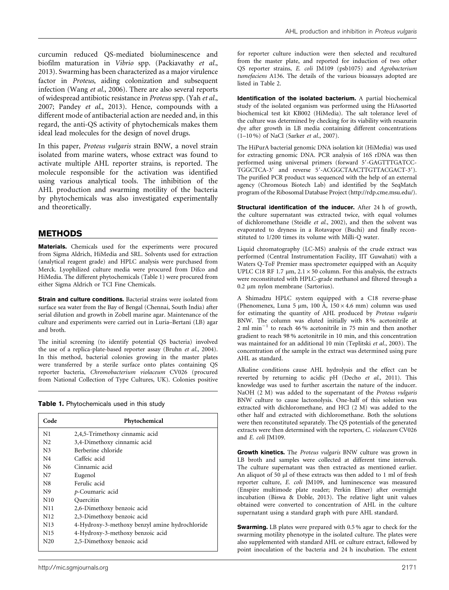curcumin reduced QS-mediated bioluminescence and biofilm maturation in Vibrio spp. (Packiavathy et al., 2013). Swarming has been characterized as a major virulence factor in Proteus, aiding colonization and subsequent infection (Wang et al., 2006). There are also several reports of widespread antibiotic resistance in Proteus spp. (Yah et al., 2007; Pandey et al., 2013). Hence, compounds with a different mode of antibacterial action are needed and, in this regard, the anti-QS activity of phytochemicals makes them ideal lead molecules for the design of novel drugs.

In this paper, Proteus vulgaris strain BNW, a novel strain isolated from marine waters, whose extract was found to activate multiple AHL reporter strains, is reported. The molecule responsible for the activation was identified using various analytical tools. The inhibition of the AHL production and swarming motility of the bacteria by phytochemicals was also investigated experimentally and theoretically.

#### METHODS

Materials. Chemicals used for the experiments were procured from Sigma Aldrich, HiMedia and SRL. Solvents used for extraction (analytical reagent grade) and HPLC analysis were purchased from Merck. Lyophilized culture media were procured from Difco and HiMedia. The different phytochemicals (Table 1) were procured from either Sigma Aldrich or TCI Fine Chemicals.

Strain and culture conditions. Bacterial strains were isolated from surface sea water from the Bay of Bengal (Chennai, South India) after serial dilution and growth in Zobell marine agar. Maintenance of the culture and experiments were carried out in Luria–Bertani (LB) agar and broth.

The initial screening (to identify potential QS bacteria) involved the use of a replica-plate-based reporter assay (Bruhn et al., 2004). In this method, bacterial colonies growing in the master plates were transferred by a sterile surface onto plates containing QS reporter bacteria, Chromobacterium violaceum CV026 (procured from National Collection of Type Cultures, UK). Colonies positive

| Table 1. Phytochemicals used in this study |  |  |  |
|--------------------------------------------|--|--|--|
|--------------------------------------------|--|--|--|

| Code            | Phytochemical                                  |  |  |  |
|-----------------|------------------------------------------------|--|--|--|
| N1              | 2,4,5-Trimethoxy cinnamic acid                 |  |  |  |
| N <sub>2</sub>  | 3,4-Dimethoxy cinnamic acid                    |  |  |  |
| N <sub>3</sub>  | Berberine chloride                             |  |  |  |
| N4              | Caffeic acid                                   |  |  |  |
| N6              | Cinnamic acid                                  |  |  |  |
| N7              | Eugenol                                        |  |  |  |
| N8              | Ferulic acid                                   |  |  |  |
| N9              | p-Coumaric acid                                |  |  |  |
| N10             | Ouercitin                                      |  |  |  |
| N11             | 2,6-Dimethoxy benzoic acid                     |  |  |  |
| N <sub>12</sub> | 2,3-Dimethoxy benzoic acid                     |  |  |  |
| N <sub>13</sub> | 4-Hydroxy-3-methoxy benzyl amine hydrochloride |  |  |  |
| N <sub>15</sub> | 4-Hydroxy-3-methoxy benzoic acid               |  |  |  |
| N <sub>20</sub> | 2,5-Dimethoxy benzoic acid                     |  |  |  |

for reporter culture induction were then selected and recultured from the master plate, and reported for induction of two other QS reporter strains, E. coli JM109 (psb1075) and Agrobacterium tumefaciens A136. The details of the various bioassays adopted are listed in Table 2.

Identification of the isolated bacterium. A partial biochemical study of the isolated organism was performed using the HiAssorted biochemical test kit KB002 (HiMedia). The salt tolerance level of the culture was determined by checking for its viability with resazurin dye after growth in LB media containing different concentrations (1–10 %) of NaCl (Sarker et al., 2007).

The HiPurA bacterial genomic DNA isolation kit (HiMedia) was used for extracting genomic DNA. PCR analysis of 16S rDNA was then performed using universal primers (forward 5'-GAGTTTGATCC-TGGCTCA-3' and reverse 5'-ACGGCTAACTTGTTACGACT-3'). The purified PCR product was sequenced with the help of an external agency (Chromous Biotech Lab) and identified by the SeqMatch program of the Ribosomal Database Project (http://rdp.cme.msu.edu/).

Structural identification of the inducer. After 24 h of growth, the culture supernatant was extracted twice, with equal volumes of dichloromethane (Steidle et al., 2002), and then the solvent was evaporated to dryness in a Rotavapor (Buchi) and finally reconstituted to 1/200 times its volume with Milli-Q water.

Liquid chromatography (LC-MS) analysis of the crude extract was performed (Central Instrumentation Facility, IIT Guwahati) with a Waters Q-ToF Premier mass spectrometer equipped with an Acquity UPLC C18 RF 1.7  $\mu$ m, 2.1  $\times$  50 column. For this analysis, the extracts were reconstituted with HPLC-grade methanol and filtered through a 0.2 µm nylon membrane (Sartorius).

A Shimadzu HPLC system equipped with a C18 reverse-phase (Phenomenex, Luna 5 µm, 100 Å, 150  $\times$  4.6 mm) column was used for estimating the quantity of AHL produced by Proteus vulgaris BNW. The column was eluted initially with 8 % acetonitrile at 2 ml min<sup>-1</sup> to reach 46% acetonitrile in 75 min and then another gradient to reach 98 % acetonitrile in 10 min, and this concentration was maintained for an additional 10 min (Teplitski et al., 2003). The concentration of the sample in the extract was determined using pure AHL as standard.

Alkaline conditions cause AHL hydrolysis and the effect can be reverted by returning to acidic pH (Decho et al., 2011). This knowledge was used to further ascertain the nature of the inducer. NaOH (2 M) was added to the supernatant of the Proteus vulgaris BNW culture to cause lactonolysis. One-half of this solution was extracted with dichloromethane, and HCl (2 M) was added to the other half and extracted with dichloromethane. Both the solutions were then reconstituted separately. The QS potentials of the generated extracts were then determined with the reporters, C. violaceum CV026 and E. coli JM109.

Growth kinetics. The Proteus vulgaris BNW culture was grown in LB broth and samples were collected at different time intervals. The culture supernatant was then extracted as mentioned earlier. An aliquot of 50 µl of these extracts was then added to 1 ml of fresh reporter culture, E. coli JM109, and luminescence was measured (Enspire multimode plate reader; Perkin Elmer) after overnight incubation (Biswa & Doble, 2013). The relative light unit values obtained were converted to concentration of AHL in the culture supernatant using a standard graph with pure AHL standard.

**Swarming.** LB plates were prepared with 0.5 % agar to check for the swarming motility phenotype in the isolated culture. The plates were also supplemented with standard AHL or culture extract, followed by point inoculation of the bacteria and 24 h incubation. The extent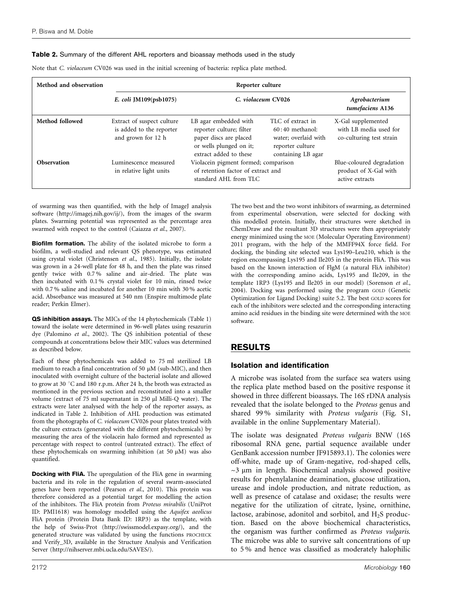#### Table 2. Summary of the different AHL reporters and bioassay methods used in the study

| Method and observation | Reporter culture                                                             |                                                                                                                                  |                                                                                                          |                                                                          |  |
|------------------------|------------------------------------------------------------------------------|----------------------------------------------------------------------------------------------------------------------------------|----------------------------------------------------------------------------------------------------------|--------------------------------------------------------------------------|--|
|                        | E. coli $[M109(psb1075)$                                                     | C. violaceum CV026                                                                                                               |                                                                                                          | Agrobacterium<br>tumefaciens A136                                        |  |
| Method followed        | Extract of suspect culture<br>is added to the reporter<br>and grown for 12 h | LB agar embedded with<br>reporter culture; filter<br>paper discs are placed<br>or wells plunged on it;<br>extract added to these | TLC of extract in<br>$60:40$ methanol:<br>water; overlaid with<br>reporter culture<br>containing LB agar | X-Gal supplemented<br>with LB media used for<br>co-culturing test strain |  |
| <b>Observation</b>     | Luminescence measured<br>in relative light units                             | Violacein pigment formed; comparison<br>of retention factor of extract and<br>standard AHL from TLC                              |                                                                                                          | Blue-coloured degradation<br>product of X-Gal with<br>active extracts    |  |

Note that C. violaceum CV026 was used in the initial screening of bacteria: replica plate method.

of swarming was then quantified, with the help of ImageJ analysis software (http://imagej.nih.gov/ij/), from the images of the swarm plates. Swarming potential was represented as the percentage area swarmed with respect to the control (Caiazza et al., 2007).

Biofilm formation. The ability of the isolated microbe to form a biofilm, a well-studied and relevant QS phenotype, was estimated using crystal violet (Christensen et al., 1985). Initially, the isolate was grown in a 24-well plate for 48 h, and then the plate was rinsed gently twice with 0.7 % saline and air-dried. The plate was then incubated with 0.1 % crystal violet for 10 min, rinsed twice with 0.7 % saline and incubated for another 10 min with 30 % acetic acid. Absorbance was measured at 540 nm (Enspire multimode plate reader; Perkin Elmer).

QS inhibition assays. The MICs of the 14 phytochemicals (Table 1) toward the isolate were determined in 96-well plates using resazurin dye (Palomino et al., 2002). The QS inhibition potential of these compounds at concentrations below their MIC values was determined as described below.

Each of these phytochemicals was added to 75 ml sterilized LB medium to reach a final concentration of 50  $\mu$ M (sub-MIC), and then inoculated with overnight culture of the bacterial isolate and allowed to grow at 30  $^{\circ}\mathrm{C}$  and 180 r.p.m. After 24 h, the broth was extracted as mentioned in the previous section and reconstituted into a smaller volume (extract of 75 ml supernatant in 250 µl Milli-Q water). The extracts were later analysed with the help of the reporter assays, as indicated in Table 2. Inhibition of AHL production was estimated from the photographs of C. violaceum CV026 pour plates treated with the culture extracts (generated with the different phytochemicals) by measuring the area of the violacein halo formed and represented as percentage with respect to control (untreated extract). The effect of these phytochemicals on swarming inhibition (at 50  $\mu$ M) was also quantified.

Docking with FliA. The upregulation of the FliA gene in swarming bacteria and its role in the regulation of several swarm-associated genes have been reported (Pearson et al., 2010). This protein was therefore considered as a potential target for modelling the action of the inhibitors. The FliA protein from Proteus mirabilis (UniProt ID: PMI1618) was homology modelled using the Aquifex aeolicus FliA protein (Protein Data Bank ID: 1RP3) as the template, with the help of Swiss-Prot (http://swissmodel.expasy.org/), and the generated structure was validated by using the functions PROCHECK and Verify\_3D, available in the Structure Analysis and Verification Server (http://nihserver.mbi.ucla.edu/SAVES/).

The two best and the two worst inhibitors of swarming, as determined from experimental observation, were selected for docking with this modelled protein. Initially, their structures were sketched in ChemDraw and the resultant 3D structures were then appropriately energy minimized using the MOE (Molecular Operating Environment) 2011 program, with the help of the MMFF94X force field. For docking, the binding site selected was Lys190–Leu210, which is the region encompassing Lys195 and Ile205 in the protein FliA. This was based on the known interaction of FlgM (a natural FliA inhibitor) with the corresponding amino acids, Lys195 and Ile209, in the template 1RP3 (Lys195 and Ile205 in our model) (Sorenson et al., 2004). Docking was performed using the program GOLD (Genetic Optimization for Ligand Docking) suite 5.2. The best GOLD scores for each of the inhibitors were selected and the corresponding interacting amino acid residues in the binding site were determined with the MOE software.

## RESULTS

#### Isolation and identification

A microbe was isolated from the surface sea waters using the replica plate method based on the positive response it showed in three different bioassays. The 16S rDNA analysis revealed that the isolate belonged to the Proteus genus and shared 99 % similarity with Proteus vulgaris (Fig. S1, available in the online Supplementary Material).

The isolate was designated Proteus vulgaris BNW (16S ribosomal RNA gene, partial sequence available under GenBank accession number JF915893.1). The colonies were off-white, made up of Gram-negative, rod-shaped cells,  $\sim$ 3  $\mu$ m in length. Biochemical analysis showed positive results for phenylalanine deamination, glucose utilization, urease and indole production, and nitrate reduction, as well as presence of catalase and oxidase; the results were negative for the utilization of citrate, lysine, ornithine, lactose, arabinose, adonitol and sorbitol, and  $H_2S$  production. Based on the above biochemical characteristics, the organism was further confirmed as Proteus vulgaris. The microbe was able to survive salt concentrations of up to 5 % and hence was classified as moderately halophilic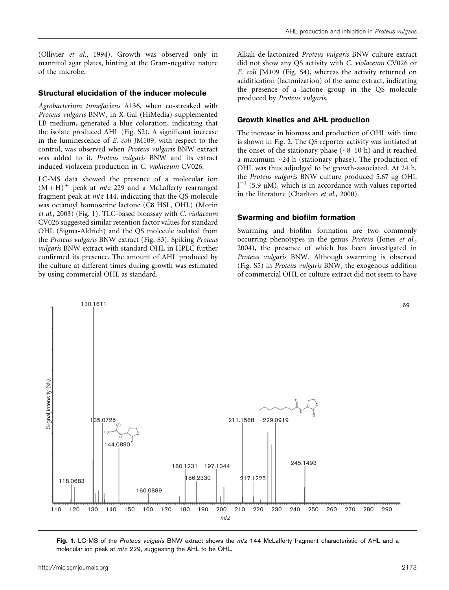(Ollivier et al., 1994). Growth was observed only in mannitol agar plates, hinting at the Gram-negative nature of the microbe.

#### Structural elucidation of the inducer molecule

Agrobacterium tumefaciens A136, when co-streaked with Proteus vulgaris BNW, in X-Gal (HiMedia)-supplemented LB medium, generated a blue coloration, indicating that the isolate produced AHL (Fig. S2). A significant increase in the luminescence of E. coli JM109, with respect to the control, was observed when Proteus vulgaris BNW extract was added to it. Proteus vulgaris BNW and its extract induced violacein production in C. violaceum CV026.

LC-MS data showed the presence of a molecular ion  $(M+H)^+$  peak at *m/z* 229 and a McLafferty rearranged fragment peak at  $m/z$  144, indicating that the QS molecule was octanoyl homoserine lactone (C8 HSL, OHL) (Morin et al., 2003) (Fig. 1). TLC-based bioassay with C. violaceum CV026 suggested similar retention factor values for standard OHL (Sigma-Aldrich) and the QS molecule isolated from the Proteus vulgaris BNW extract (Fig. S3). Spiking Proteus vulgaris BNW extract with standard OHL in HPLC further confirmed its presence. The amount of AHL produced by the culture at different times during growth was estimated by using commercial OHL as standard.

Alkali de-lactonized Proteus vulgaris BNW culture extract did not show any QS activity with C. violaceum CV026 or E. coli JM109 (Fig. S4), whereas the activity returned on acidification (lactonization) of the same extract, indicating the presence of a lactone group in the QS molecule produced by Proteus vulgaris.

#### Growth kinetics and AHL production

The increase in biomass and production of OHL with time is shown in Fig. 2. The QS reporter activity was initiated at the onset of the stationary phase  $({\sim}8{-}10 \text{ h})$  and it reached a maximum  $\sim$ 24 h (stationary phase). The production of OHL was thus adjudged to be growth-associated. At 24 h, the Proteus vulgaris BNW culture produced 5.67 µg OHL  $1^{-1}$  (5.9 µM), which is in accordance with values reported in the literature (Charlton et al., 2000).

#### Swarming and biofilm formation

Swarming and biofilm formation are two commonly occurring phenotypes in the genus Proteus (Jones et al., 2004), the presence of which has been investigated in Proteus vulgaris BNW. Although swarming is observed (Fig. S5) in Proteus vulgaris BNW, the exogenous addition of commercial OHL or culture extract did not seem to have



Fig. 1. LC-MS of the Proteus vulgaris BNW extract shows the m/z 144 McLafferty fragment characteristic of AHL and a molecular ion peak at  $m/z$  229, suggesting the AHL to be OHL.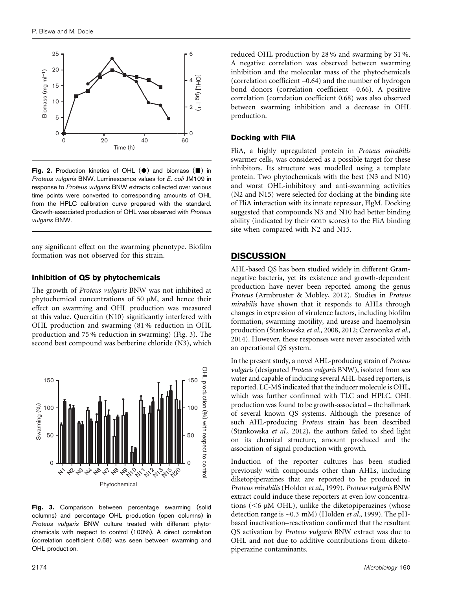

Fig. 2. Production kinetics of OHL  $(\bullet)$  and biomass  $(\blacksquare)$  in Proteus vulgaris BNW. Luminescence values for E. coli JM109 in response to Proteus vulgaris BNW extracts collected over various time points were converted to corresponding amounts of OHL from the HPLC calibration curve prepared with the standard. Growth-associated production of OHL was observed with Proteus vulgaris BNW.

any significant effect on the swarming phenotype. Biofilm formation was not observed for this strain.

#### Inhibition of QS by phytochemicals

The growth of Proteus vulgaris BNW was not inhibited at phytochemical concentrations of 50  $\mu$ M, and hence their effect on swarming and OHL production was measured at this value. Quercitin (N10) significantly interfered with OHL production and swarming (81 % reduction in OHL production and 75 % reduction in swarming) (Fig. 3). The second best compound was berberine chloride (N3), which



Fig. 3. Comparison between percentage swarming (solid columns) and percentage OHL production (open columns) in Proteus vulgaris BNW culture treated with different phytochemicals with respect to control (100%). A direct correlation (correlation coefficient 0.68) was seen between swarming and OHL production.

reduced OHL production by 28 % and swarming by 31 %. A negative correlation was observed between swarming inhibition and the molecular mass of the phytochemicals (correlation coefficient –0.64) and the number of hydrogen bond donors (correlation coefficient –0.66). A positive correlation (correlation coefficient 0.68) was also observed between swarming inhibition and a decrease in OHL production.

#### Docking with FliA

FliA, a highly upregulated protein in Proteus mirabilis swarmer cells, was considered as a possible target for these inhibitors. Its structure was modelled using a template protein. Two phytochemicals with the best (N3 and N10) and worst OHL-inhibitory and anti-swarming activities (N2 and N15) were selected for docking at the binding site of FliA interaction with its innate repressor, FlgM. Docking suggested that compounds N3 and N10 had better binding ability (indicated by their GOLD scores) to the FliA binding site when compared with N2 and N15.

### **DISCUSSION**

AHL-based QS has been studied widely in different Gramnegative bacteria, yet its existence and growth-dependent production have never been reported among the genus Proteus (Armbruster & Mobley, 2012). Studies in Proteus mirabilis have shown that it responds to AHLs through changes in expression of virulence factors, including biofilm formation, swarming motility, and urease and haemolysin production (Stankowska et al., 2008, 2012; Czerwonka et al., 2014). However, these responses were never associated with an operational QS system.

In the present study, a novel AHL-producing strain of Proteus vulgaris (designated Proteus vulgaris BNW), isolated from sea water and capable of inducing several AHL-based reporters, is reported. LC-MS indicated that the inducer molecule is OHL, which was further confirmed with TLC and HPLC. OHL production was found to be growth-associated – the hallmark of several known QS systems. Although the presence of such AHL-producing Proteus strain has been described (Stankowska et al., 2012), the authors failed to shed light on its chemical structure, amount produced and the association of signal production with growth.

Induction of the reporter cultures has been studied previously with compounds other than AHLs, including diketopiperazines that are reported to be produced in Proteus mirabilis (Holden et al., 1999). Proteus vulgaris BNW extract could induce these reporters at even low concentrations ( $<$ 6  $\mu$ M OHL), unlike the diketopiperazines (whose detection range is  $\sim$  0.3 mM) (Holden et al., 1999). The pHbased inactivation–reactivation confirmed that the resultant QS activation by Proteus vulgaris BNW extract was due to OHL and not due to additive contributions from diketopiperazine contaminants.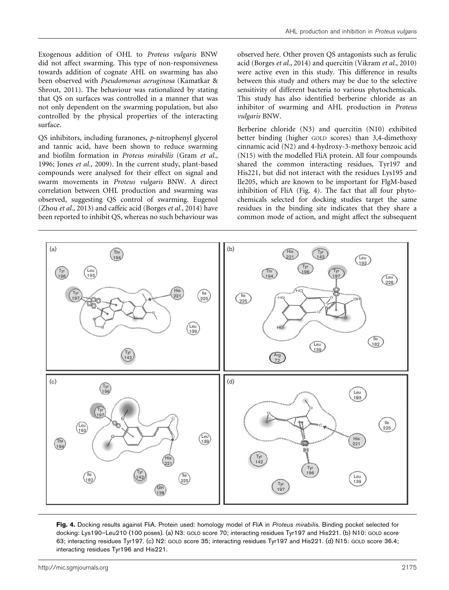Exogenous addition of OHL to Proteus vulgaris BNW did not affect swarming. This type of non-responsiveness towards addition of cognate AHL on swarming has also been observed with Pseudomonas aeruginosa (Kamatkar & Shrout, 2011). The behaviour was rationalized by stating that QS on surfaces was controlled in a manner that was not only dependent on the swarming population, but also controlled by the physical properties of the interacting surface.

QS inhibitors, including furanones, p-nitrophenyl glycerol and tannic acid, have been shown to reduce swarming and biofilm formation in Proteus mirabilis (Gram et al., 1996; Jones et al., 2009). In the current study, plant-based compounds were analysed for their effect on signal and swarm movements in Proteus vulgaris BNW. A direct correlation between OHL production and swarming was observed, suggesting QS control of swarming. Eugenol (Zhou et al., 2013) and caffeic acid (Borges et al., 2014) have been reported to inhibit QS, whereas no such behaviour was observed here. Other proven QS antagonists such as ferulic acid (Borges et al., 2014) and quercitin (Vikram et al., 2010) were active even in this study. This difference in results between this study and others may be due to the selective sensitivity of different bacteria to various phytochemicals. This study has also identified berberine chloride as an inhibitor of swarming and AHL production in Proteus vulgaris BNW.

Berberine chloride (N3) and quercitin (N10) exhibited better binding (higher GOLD scores) than 3,4-dimethoxy cinnamic acid (N2) and 4-hydroxy-3-methoxy benzoic acid (N15) with the modelled FliA protein. All four compounds shared the common interacting residues, Tyr197 and His221, but did not interact with the residues Lys195 and Ile205, which are known to be important for FlgM-based inhibition of FliA (Fig. 4). The fact that all four phytochemicals selected for docking studies target the same residues in the binding site indicates that they share a common mode of action, and might affect the subsequent



Fig. 4. Docking results against FliA. Protein used: homology model of FliA in Proteus mirabilis. Binding pocket selected for docking: Lys190–Leu210 (100 poses). (a) N3: GOLD score 70; interacting residues Tyr197 and His221. (b) N10: GOLD score 63; interacting residues Tyr197. (c) N2: GOLD score 35; interacting residues Tyr197 and His221. (d) N15: GOLD score 36.4; interacting residues Tyr196 and His221.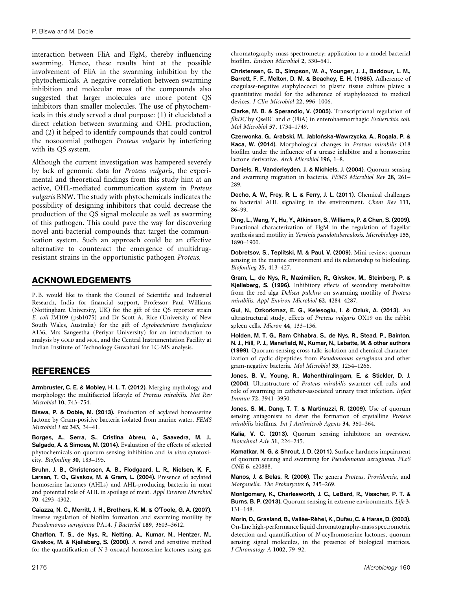interaction between FliA and FlgM, thereby influencing swarming. Hence, these results hint at the possible involvement of FliA in the swarming inhibition by the phytochemicals. A negative correlation between swarming inhibition and molecular mass of the compounds also suggested that larger molecules are more potent QS inhibitors than smaller molecules. The use of phytochemicals in this study served a dual purpose: (1) it elucidated a direct relation between swarming and OHL production, and (2) it helped to identify compounds that could control the nosocomial pathogen Proteus vulgaris by interfering with its QS system.

Although the current investigation was hampered severely by lack of genomic data for Proteus vulgaris, the experimental and theoretical findings from this study hint at an active, OHL-mediated communication system in Proteus vulgaris BNW. The study with phytochemicals indicates the possibility of designing inhibitors that could decrease the production of the QS signal molecule as well as swarming of this pathogen. This could pave the way for discovering novel anti-bacterial compounds that target the communication system. Such an approach could be an effective alternative to counteract the emergence of multidrugresistant strains in the opportunistic pathogen Proteus.

## ACKNOWLEDGEMENTS

P. B. would like to thank the Council of Scientific and Industrial Research, India for financial support, Professor Paul Williams (Nottingham University, UK) for the gift of the QS reporter strain E. coli JM109 (psb1075) and Dr Scott A. Rice (University of New South Wales, Australia) for the gift of Agrobacterium tumefaciens A136, Mrs Sangeetha (Periyar University) for an introduction to analysis by GOLD and MOE, and the Central Instrumentation Facility at Indian Institute of Technology Guwahati for LC-MS analysis.

#### REFERENCES

Armbruster, C. E. & Mobley, H. L. T. (2012). Merging mythology and morphology: the multifaceted lifestyle of Proteus mirabilis. Nat Rev Microbiol 10, 743–754.

Biswa, P. & Doble, M. (2013). Production of acylated homoserine lactone by Gram-positive bacteria isolated from marine water. FEMS Microbiol Lett 343, 34–41.

Borges, A., Serra, S., Cristina Abreu, A., Saavedra, M. J., Salgado, A. & Simoes, M. (2014). Evaluation of the effects of selected phytochemicals on quorum sensing inhibition and in vitro cytotoxicity. Biofouling 30, 183–195.

Bruhn, J. B., Christensen, A. B., Flodgaard, L. R., Nielsen, K. F., Larsen, T. O., Givskov, M. & Gram, L. (2004). Presence of acylated homoserine lactones (AHLs) and AHL-producing bacteria in meat and potential role of AHL in spoilage of meat. Appl Environ Microbiol 70, 4293–4302.

Caiazza, N. C., Merritt, J. H., Brothers, K. M. & O'Toole, G. A. (2007). Inverse regulation of biofilm formation and swarming motility by Pseudomonas aeruginosa PA14. J Bacteriol 189, 3603–3612.

Charlton, T. S., de Nys, R., Netting, A., Kumar, N., Hentzer, M., Givskov, M. & Kjelleberg, S. (2000). A novel and sensitive method for the quantification of N-3-oxoacyl homoserine lactones using gas chromatography-mass spectrometry: application to a model bacterial biofilm. Environ Microbiol 2, 530–541.

Christensen, G. D., Simpson, W. A., Younger, J. J., Baddour, L. M., Barrett, F. F., Melton, D. M. & Beachey, E. H. (1985). Adherence of coagulase-negative staphylococci to plastic tissue culture plates: a quantitative model for the adherence of staphylococci to medical devices. J Clin Microbiol 22, 996-1006.

Clarke, M. B. & Sperandio, V. (2005). Transcriptional regulation of flhDC by QseBC and  $\sigma$  (FliA) in enterohaemorrhagic *Escherichia coli*. Mol Microbiol 57, 1734–1749.

Czerwonka, G., Arabski, M., Jabłońska-Wawrzycka, A., Rogala, P. & Kaca, W. (2014). Morphological changes in Proteus mirabilis O18 biofilm under the influence of a urease inhibitor and a homoserine lactone derivative. Arch Microbiol 196, 1–8.

Daniels, R., Vanderleyden, J. & Michiels, J. (2004). Quorum sensing and swarming migration in bacteria. FEMS Microbiol Rev 28, 261– 289.

Decho, A. W., Frey, R. L. & Ferry, J. L. (2011). Chemical challenges to bacterial AHL signaling in the environment. Chem Rev 111, 86–99.

Ding, L., Wang, Y., Hu, Y., Atkinson, S., Williams, P. & Chen, S. (2009). Functional characterization of FlgM in the regulation of flagellar synthesis and motility in Yersinia pseudotuberculosis. Microbiology 155, 1890–1900.

Dobretsov, S., Teplitski, M. & Paul, V. (2009). Mini-review: quorum sensing in the marine environment and its relationship to biofouling. Biofouling 25, 413–427.

Gram, L., de Nys, R., Maximilien, R., Givskov, M., Steinberg, P. & Kjelleberg, S. (1996). Inhibitory effects of secondary metabolites from the red alga Delisea pulchra on swarming motility of Proteus mirabilis. Appl Environ Microbiol 62, 4284–4287.

Gul, N., Ozkorkmaz, E. G., Kelesoglu, I. & Ozluk, A. (2013). An ultrastructural study, effects of Proteus vulgaris OX19 on the rabbit spleen cells. Micron 44, 133–136.

Holden, M. T. G., Ram Chhabra, S., de Nys, R., Stead, P., Bainton, N. J., Hill, P. J., Manefield, M., Kumar, N., Labatte, M. & other authors (1999). Quorum-sensing cross talk: isolation and chemical characterization of cyclic dipeptides from Pseudomonas aeruginosa and other gram-negative bacteria. Mol Microbiol 33, 1254–1266.

Jones, B. V., Young, R., Mahenthiralingam, E. & Stickler, D. J. (2004). Ultrastructure of Proteus mirabilis swarmer cell rafts and role of swarming in catheter-associated urinary tract infection. Infect Immun 72, 3941–3950.

Jones, S. M., Dang, T. T. & Martinuzzi, R. (2009). Use of quorum sensing antagonists to deter the formation of crystalline Proteus mirabilis biofilms. Int J Antimicrob Agents 34, 360–364.

Kalia, V. C. (2013). Quorum sensing inhibitors: an overview. Biotechnol Adv 31, 224–245.

Kamatkar, N. G. & Shrout, J. D. (2011). Surface hardness impairment of quorum sensing and swarming for Pseudomonas aeruginosa. PLoS ONE 6, e20888.

Manos, J. & Belas, R. (2006). The genera Proteus, Providencia, and Morganella. The Prokaryotes 6, 245–269.

Montgomery, K., Charlesworth, J. C., LeBard, R., Visscher, P. T. & Burns, B. P. (2013). Quorum sensing in extreme environments. Life 3, 131–148.

Morin, D., Grasland, B., Vallée-Réhel, K., Dufau, C. & Haras, D. (2003). On-line high-performance liquid chromatography-mass spectrometric detection and quantification of N-acylhomoserine lactones, quorum sensing signal molecules, in the presence of biological matrices. J Chromatogr A 1002, 79–92.